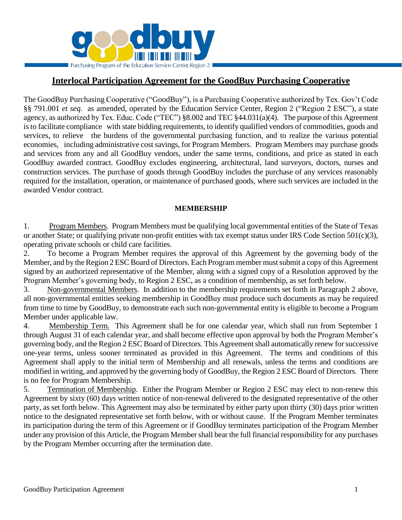

# **Interlocal Participation Agreement for the GoodBuy Purchasing Cooperative**

The GoodBuy Purchasing Cooperative ("GoodBuy"), is a Purchasing Cooperative authorized by Tex. Gov't Code §§ 791.001 *et seq.* as amended, operated by the Education Service Center, Region 2 ("Region 2 ESC"), a state agency, as authorized by Tex. Educ. Code ("TEC") §8.002 and TEC §44.031(a)(4). The purpose of this Agreement isto facilitate compliance with state bidding requirements, to identify qualified vendors of commodities, goods and services, to relieve the burdens of the governmental purchasing function, and to realize the various potential economies, including administrative cost savings, for Program Members. Program Members may purchase goods and services from any and all GoodBuy vendors, under the same terms, conditions, and price as stated in each GoodBuy awarded contract. GoodBuy excludes engineering, architectural, land surveyors, doctors, nurses and construction services. The purchase of goods through GoodBuy includes the purchase of any services reasonably required for the installation, operation, or maintenance of purchased goods, where such services are included in the awarded Vendor contract.

#### **MEMBERSHIP**

1. Program Members. Program Members must be qualifying local governmental entities of the State of Texas or another State; or qualifying private non-profit entities with tax exempt status under IRS Code Section 501(c)(3), operating private schools or child care facilities.

2. To become a Program Member requires the approval of this Agreement by the governing body of the Member, and by the Region 2 ESC Board of Directors. Each Program member must submit a copy of this Agreement signed by an authorized representative of the Member, along with a signed copy of a Resolution approved by the Program Member's governing body, to Region 2 ESC, as a condition of membership, as set forth below.

3. Non-governmental Members. In addition to the membership requirements set forth in Paragraph 2 above, all non-governmental entities seeking membership in GoodBuy must produce such documents as may be required from time to time by GoodBuy, to demonstrate each such non-governmental entity is eligible to become a Program Member under applicable law.

4. Membership Term. This Agreement shall be for one calendar year, which shall run from September 1 through August 31 of each calendar year, and shall become effective upon approval by both the Program Member's governing body, and the Region 2 ESC Board of Directors. This Agreement shall automatically renew for successive one-year terms, unless sooner terminated as provided in this Agreement. The terms and conditions of this Agreement shall apply to the initial term of Membership and all renewals, unless the terms and conditions are modified in writing, and approved by the governing body of GoodBuy, the Region 2 ESC Board of Directors. There is no fee for Program Membership.

5. Termination of Membership. Either the Program Member or Region 2 ESC may elect to non-renew this Agreement by sixty (60) days written notice of non-renewal delivered to the designated representative of the other party, as set forth below. This Agreement may also be terminated by either party upon thirty (30) days prior written notice to the designated representative set forth below, with or without cause. If the Program Member terminates its participation during the term of this Agreement or if GoodBuy terminates participation of the Program Member under any provision of this Article, the Program Member shall bear the full financial responsibility for any purchases by the Program Member occurring after the termination date.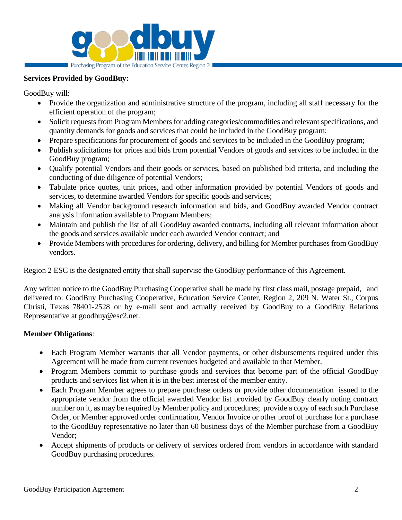

#### **Services Provided by GoodBuy:**

GoodBuy will:

- Provide the organization and administrative structure of the program, including all staff necessary for the efficient operation of the program;
- Solicit requests from Program Members for adding categories/commodities and relevant specifications, and quantity demands for goods and services that could be included in the GoodBuy program;
- Prepare specifications for procurement of goods and services to be included in the GoodBuy program;
- Publish solicitations for prices and bids from potential Vendors of goods and services to be included in the GoodBuy program;
- Qualify potential Vendors and their goods or services, based on published bid criteria, and including the conducting of due diligence of potential Vendors;
- Tabulate price quotes, unit prices, and other information provided by potential Vendors of goods and services, to determine awarded Vendors for specific goods and services;
- Making all Vendor background research information and bids, and GoodBuy awarded Vendor contract analysis information available to Program Members;
- Maintain and publish the list of all GoodBuy awarded contracts, including all relevant information about the goods and services available under each awarded Vendor contract; and
- Provide Members with procedures for ordering, delivery, and billing for Member purchases from GoodBuy vendors.

Region 2 ESC is the designated entity that shall supervise the GoodBuy performance of this Agreement.

Any written notice to the GoodBuy Purchasing Cooperative shall be made by first class mail, postage prepaid, and delivered to: GoodBuy Purchasing Cooperative, Education Service Center, Region 2, 209 N. Water St., Corpus Christi, Texas 78401-2528 or by e-mail sent and actually received by GoodBuy to a GoodBuy Relations Representative at goodbuy@esc2.net.

### **Member Obligations**:

- Each Program Member warrants that all Vendor payments, or other disbursements required under this Agreement will be made from current revenues budgeted and available to that Member.
- Program Members commit to purchase goods and services that become part of the official GoodBuy products and services list when it is in the best interest of the member entity.
- Each Program Member agrees to prepare purchase orders or provide other documentation issued to the appropriate vendor from the official awarded Vendor list provided by GoodBuy clearly noting contract number on it, as may be required by Member policy and procedures; provide a copy of each such Purchase Order, or Member approved order confirmation, Vendor Invoice or other proof of purchase for a purchase to the GoodBuy representative no later than 60 business days of the Member purchase from a GoodBuy Vendor;
- Accept shipments of products or delivery of services ordered from vendors in accordance with standard GoodBuy purchasing procedures.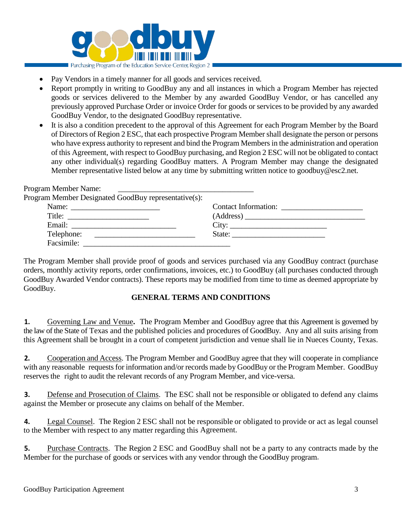

- Pay Vendors in a timely manner for all goods and services received.
- Report promptly in writing to GoodBuy any and all instances in which a Program Member has rejected goods or services delivered to the Member by any awarded GoodBuy Vendor, or has cancelled any previously approved Purchase Order or invoice Order for goods or services to be provided by any awarded GoodBuy Vendor, to the designated GoodBuy representative.
- It is also a condition precedent to the approval of this Agreement for each Program Member by the Board of Directors of Region 2 ESC, that each prospective Program Member shall designate the person or persons who have express authority to represent and bind the Program Members in the administration and operation of this Agreement, with respect to GoodBuy purchasing, and Region 2 ESC will not be obligated to contact any other individual(s) regarding GoodBuy matters. A Program Member may change the designated Member representative listed below at any time by submitting written notice to goodbuy@esc2.net.

| Program Member Name:<br><u> 1989 - Andrea Barbara, Amerikaansk politiker (d. 1989)</u> |                      |
|----------------------------------------------------------------------------------------|----------------------|
| Program Member Designated GoodBuy representative(s):                                   |                      |
| Name: $\frac{1}{\sqrt{1-\frac{1}{2}} \cdot \frac{1}{2}}$                               | Contact Information: |
|                                                                                        |                      |
|                                                                                        | City:                |
| Telephone:                                                                             |                      |
| Facsimile:                                                                             |                      |

The Program Member shall provide proof of goods and services purchased via any GoodBuy contract (purchase orders, monthly activity reports, order confirmations, invoices, etc.) to GoodBuy (all purchases conducted through GoodBuy Awarded Vendor contracts). These reports may be modified from time to time as deemed appropriate by GoodBuy.

### **GENERAL TERMS AND CONDITIONS**

**1.** Governing Law and Venue**.** The Program Member and GoodBuy agree that this Agreement is governed by the law of the State of Texas and the published policies and procedures of GoodBuy. Any and all suits arising from this Agreement shall be brought in a court of competent jurisdiction and venue shall lie in Nueces County, Texas.

**2.** Cooperation and Access. The Program Member and GoodBuy agree that they will cooperate in compliance with any reasonable requests for information and/or records made by GoodBuy or the Program Member. GoodBuy reserves the right to audit the relevant records of any Program Member, and vice-versa.

**3.** Defense and Prosecution of Claims. The ESC shall not be responsible or obligated to defend any claims against the Member or prosecute any claims on behalf of the Member.

**4.** Legal Counsel. The Region 2 ESC shall not be responsible or obligated to provide or act as legal counsel to the Member with respect to any matter regarding this Agreement.

**5.** Purchase Contracts. The Region 2 ESC and GoodBuy shall not be a party to any contracts made by the Member for the purchase of goods or services with any vendor through the GoodBuy program.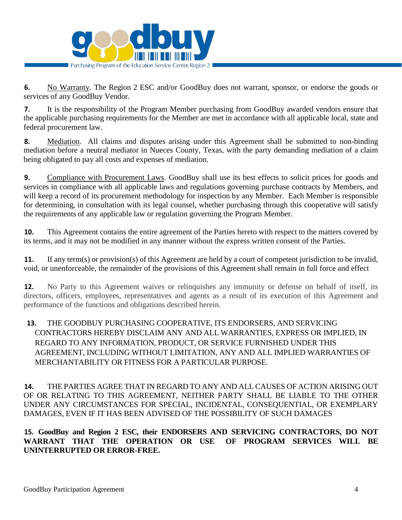

**6.** No Warranty. The Region 2 ESC and/or GoodBuy does not warrant, sponsor, or endorse the goods or services of any GoodBuy Vendor.

**7.** It is the responsibility of the Program Member purchasing from GoodBuy awarded vendors ensure that the applicable purchasing requirements for the Member are met in accordance with all applicable local, state and federal procurement law.

**8.** Mediation. All claims and disputes arising under this Agreement shall be submitted to non-binding mediation before a neutral mediator in Nueces County, Texas, with the party demanding mediation of a claim being obligated to pay all costs and expenses of mediation.

**9.** Compliance with Procurement Laws. GoodBuy shall use its best effects to solicit prices for goods and services in compliance with all applicable laws and regulations governing purchase contracts by Members, and will keep a record of its procurement methodology for inspection by any Member. Each Member is responsible for determining, in consultation with its legal counsel, whether purchasing through this cooperative will satisfy the requirements of any applicable law or regulation governing the Program Member.

**10.** This Agreement contains the entire agreement of the Parties hereto with respect to the matters covered by its terms, and it may not be modified in any manner without the express written consent of the Parties.

**11.** If any term(s) or provision(s) of this Agreement are held by a court of competent jurisdiction to be invalid, void, or unenforceable, the remainder of the provisions of this Agreement shall remain in full force and effect

**12.** No Party to this Agreement waives or relinquishes any immunity or defense on behalf of itself, its directors, officers, employees, representatives and agents as a result of its execution of this Agreement and performance of the functions and obligations described herein.

# **13.** THE GOODBUY PURCHASING COOPERATIVE, ITS ENDORSERS, AND SERVICING CONTRACTORS HEREBY DISCLAIM ANY AND ALL WARRANTIES, EXPRESS OR IMPLIED, IN REGARD TO ANY INFORMATION, PRODUCT, OR SERVICE FURNISHED UNDER THIS AGREEMENT, INCLUDING WITHOUT LIMITATION, ANY AND ALL IMPLIED WARRANTIES OF MERCHANTABILITY OR FITNESS FOR A PARTICULAR PURPOSE.

**14.** THE PARTIES AGREE THAT IN REGARD TO ANY AND ALL CAUSES OF ACTION ARISING OUT OF OR RELATING TO THIS AGREEMENT, NEITHER PARTY SHALL BE LIABLE TO THE OTHER UNDER ANY CIRCUMSTANCES FOR SPECIAL, INCIDENTAL, CONSEQUENTIAL, OR EXEMPLARY DAMAGES, EVEN IF IT HAS BEEN ADVISED OF THE POSSIBILITY OF SUCH DAMAGES

**15. GoodBuy and Region 2 ESC, their ENDORSERS AND SERVICING CONTRACTORS, DO NOT WARRANT THAT THE OPERATION OR USE OF PROGRAM SERVICES WILL BE UNINTERRUPTED OR ERROR-FREE.**